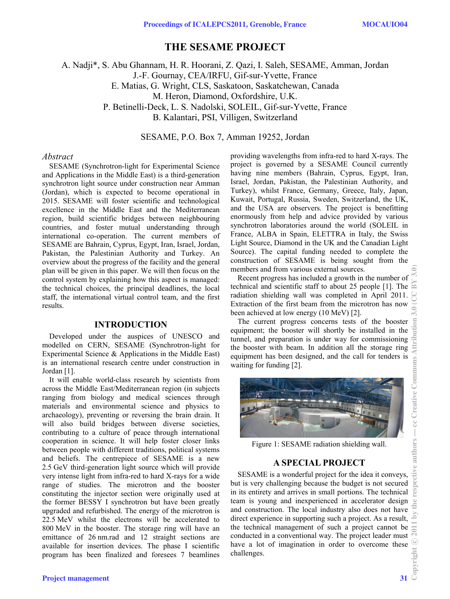# **THE SESAME PROJECT**

A. Nadji\*, S. Abu Ghannam, H. R. Hoorani, Z. Qazi, I. Saleh, SESAME, Amman, Jordan J.-F. Gournay, CEA/IRFU, Gif-sur-Yvette, France E. Matias, G. Wright, CLS, Saskatoon, Saskatchewan, Canada M. Heron, Diamond, Oxfordshire, U.K. P. Betinelli-Deck, L. S. Nadolski, SOLEIL, Gif-sur-Yvette, France B. Kalantari, PSI, Villigen, Switzerland

SESAME, P.O. Box 7, Amman 19252, Jordan

### *Abstract*

SESAME (Synchrotron-light for Experimental Science and Applications in the Middle East) is a third-generation synchrotron light source under construction near Amman (Jordan), which is expected to become operational in 2015. SESAME will foster scientific and technological excellence in the Middle East and the Mediterranean region, build scientific bridges between neighbouring countries, and foster mutual understanding through international co-operation. The current members of SESAME are Bahrain, Cyprus, Egypt, Iran, Israel, Jordan, Pakistan, the Palestinian Authority and Turkey. An overview about the progress of the facility and the general plan will be given in this paper. We will then focus on the control system by explaining how this aspect is managed: the technical choices, the principal deadlines, the local staff, the international virtual control team, and the first results.

### **INTRODUCTION**

Developed under the auspices of UNESCO and modelled on CERN, SESAME (Synchrotron-light for Experimental Science & Applications in the Middle East) is an international research centre under construction in Jordan [1].

It will enable world-class research by scientists from across the Middle East/Mediterranean region (in subjects ranging from biology and medical sciences through materials and environmental science and physics to archaeology), preventing or reversing the brain drain. It will also build bridges between diverse societies, contributing to a culture of peace through international cooperation in science. It will help foster closer links between people with different traditions, political systems and beliefs. The centrepiece of SESAME is a new 2.5 GeV third-generation light source which will provide very intense light from infra-red to hard X-rays for a wide range of studies. The microtron and the booster constituting the injector section were originally used at the former BESSY I synchrotron but have been greatly upgraded and refurbished. The energy of the microtron is 22.5 MeV whilst the electrons will be accelerated to 800 MeV in the booster. The storage ring will have an emittance of 26 nm.rad and 12 straight sections are available for insertion devices. The phase I scientific program has been finalized and foresees 7 beamlines

providing wavelengths from infra-red to hard X-rays. The project is governed by a SESAME Council currently having nine members (Bahrain, Cyprus, Egypt, Iran, Israel, Jordan, Pakistan, the Palestinian Authority, and Turkey), whilst France, Germany, Greece, Italy, Japan, Kuwait, Portugal, Russia, Sweden, Switzerland, the UK, and the USA are observers. The project is benefitting enormously from help and advice provided by various synchrotron laboratories around the world (SOLEIL in France, ALBA in Spain, ELETTRA in Italy, the Swiss Light Source, Diamond in the UK and the Canadian Light Source). The capital funding needed to complete the construction of SESAME is being sought from the members and from various external sources. Recent progress has included a growth in the number of

technical and scientific staff to about 25 people [1]. The radiation shielding wall was completed in April 2011. Extraction of the first beam from the microtron has now been achieved at low energy (10 MeV) [2].

The current progress concerns tests of the booster equipment; the booster will shortly be installed in the tunnel, and preparation is under way for commissioning the booster with beam. In addition all the storage ring equipment has been designed, and the call for tenders is waiting for funding [2].



Figure 1: SESAME radiation shielding wall.

## **A SPECIAL PROJECT**

SESAME is a wonderful project for the idea it conveys, but is very challenging because the budget is not secured in its entirety and arrives in small portions. The technical team is young and inexperienced in accelerator design and construction. The local industry also does not have direct experience in supporting such a project. As a result, the technical management of such a project cannot be conducted in a conventional way. The project leader must have a lot of imagination in order to overcome these challenges.<br>
challenges.<br>  $\frac{2}{\sqrt{5}}$ <br>
31  $\frac{3}{\sqrt{5}}$ challenges.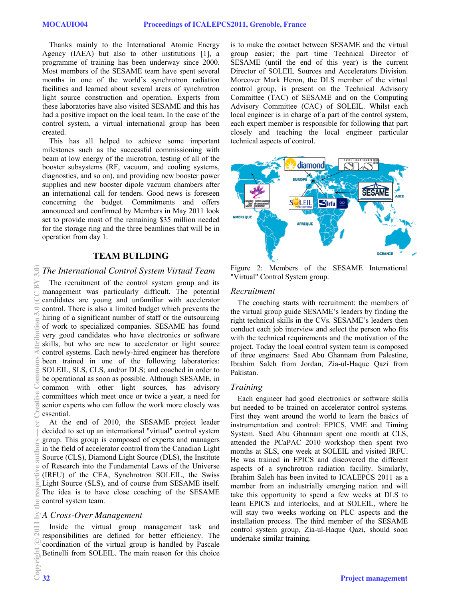Thanks mainly to the International Atomic Energy Agency (IAEA) but also to other institutions [1], a programme of training has been underway since 2000. Most members of the SESAME team have spent several months in one of the world's synchrotron radiation facilities and learned about several areas of synchrotron light source construction and operation. Experts from these laboratories have also visited SESAME and this has had a positive impact on the local team. In the case of the control system, a virtual international group has been created.

This has all helped to achieve some important milestones such as the successful commissioning with beam at low energy of the microtron, testing of all of the booster subsystems (RF, vacuum, and cooling systems, diagnostics, and so on), and providing new booster power supplies and new booster dipole vacuum chambers after an international call for tenders. Good news is foreseen concerning the budget. Commitments and offers announced and confirmed by Members in May 2011 look set to provide most of the remaining \$35 million needed for the storage ring and the three beamlines that will be in operation from day 1.

## **TEAM BUILDING**

## *The International Control System Virtual Team*

The recruitment of the control system group and its management was particularly difficult. The potential candidates are young and unfamiliar with accelerator control. There is also a limited budget which prevents the hiring of a significant number of staff or the outsourcing of work to specialized companies. SESAME has found very good candidates who have electronics or software skills, but who are new to accelerator or light source control systems. Each newly-hired engineer has therefore been trained in one of the following laboratories: SOLEIL, SLS, CLS, and/or DLS; and coached in order to be operational as soon as possible. Although SESAME, in common with other light sources, has advisory committees which meet once or twice a year, a need for senior experts who can follow the work more closely was essential.

At the end of 2010, the SESAME project leader decided to set up an international "virtual" control system group. This group is composed of experts and managers in the field of accelerator control from the Canadian Light Source (CLS), Diamond Light Source (DLS), the Institute of Research into the Fundamental Laws of the Universe (IRFU) of the CEA, Synchrotron SOLEIL, the Swiss Light Source (SLS), and of course from SESAME itself. The idea is to have close coaching of the SESAME control system team.

## *A Cross-Over Management*

Inside the virtual group management task and responsibilities are defined for better efficiency. The coordination of the virtual group is handled by Pascale Betinelli from SOLEIL. The main reason for this choice is to make the contact between SESAME and the virtual group easier; the part time Technical Director of SESAME (until the end of this year) is the current Director of SOLEIL Sources and Accelerators Division. Moreover Mark Heron, the DLS member of the virtual control group, is present on the Technical Advisory Committee (TAC) of SESAME and on the Computing Advisory Committee (CAC) of SOLEIL. Whilst each local engineer is in charge of a part of the control system, each expert member is responsible for following that part closely and teaching the local engineer particular technical aspects of control.



Figure 2: Members of the SESAME International "Virtual" Control System group.

### *Recruitment*

The coaching starts with recruitment: the members of the virtual group guide SESAME's leaders by finding the right technical skills in the CVs. SESAME's leaders then conduct each job interview and select the person who fits with the technical requirements and the motivation of the project. Today the local control system team is composed of three engineers: Saed Abu Ghannam from Palestine, Ibrahim Saleh from Jordan, Zia-ul-Haque Qazi from Pakistan.

### *Training*

Each engineer had good electronics or software skills but needed to be trained on accelerator control systems. First they went around the world to learn the basics of instrumentation and control: EPICS, VME and Timing System. Saed Abu Ghannam spent one month at CLS, attended the PCaPAC 2010 workshop then spent two months at SLS, one week at SOLEIL and visited IRFU. He was trained in EPICS and discovered the different aspects of a synchrotron radiation facility. Similarly, Ibrahim Saleh has been invited to ICALEPCS 2011 as a member from an industrially emerging nation and will take this opportunity to spend a few weeks at DLS to learn EPICS and interlocks, and at SOLEIL, where he will stay two weeks working on PLC aspects and the installation process. The third member of the SESAME control system group, Zia-ul-Haque Qazi, should soon undertake similar training.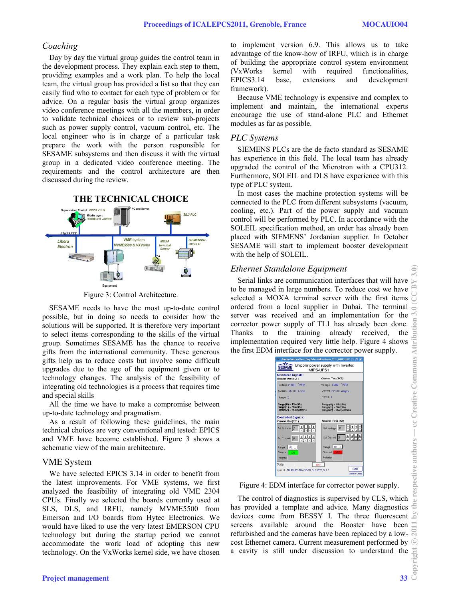## *Coaching*

Day by day the virtual group guides the control team in the development process. They explain each step to them, providing examples and a work plan. To help the local team, the virtual group has provided a list so that they can easily find who to contact for each type of problem or for advice. On a regular basis the virtual group organizes video conference meetings with all the members, in order to validate technical choices or to review sub-projects such as power supply control, vacuum control, etc. The local engineer who is in charge of a particular task prepare the work with the person responsible for SESAME subsystems and then discuss it with the virtual group in a dedicated video conference meeting. The requirements and the control architecture are then discussed during the review.



Figure 3: Control Architecture.

SESAME needs to have the most up-to-date control possible, but in doing so needs to consider how the solutions will be supported. It is therefore very important to select items corresponding to the skills of the virtual group. Sometimes SESAME has the chance to receive gifts from the international community. These generous gifts help us to reduce costs but involve some difficult upgrades due to the age of the equipment given or to technology changes. The analysis of the feasibility of integrating old technologies is a process that requires time and special skills

All the time we have to make a compromise between up-to-date technology and pragmatism.

As a result of following these guidelines, the main technical choices are very conventional and tested: EPICS and VME have become established. Figure 3 shows a schematic view of the main architecture.

### VME System

We have selected EPICS 3.14 in order to benefit from the latest improvements. For VME systems, we first analyzed the feasibility of integrating old VME 2304 CPUs. Finally we selected the boards currently used at SLS, DLS, and IRFU, namely MVME5500 from Emerson and I/O boards from Hytec Electronics. We would have liked to use the very latest EMERSON CPU technology but during the startup period we cannot accommodate the work load of adopting this new technology. On the VxWorks kernel side, we have chosen to implement version 6.9. This allows us to take advantage of the know-how of IRFU, which is in charge of building the appropriate control system environment (VxWorks kernel with required functionalities, EPICS3.14 base, extensions and development framework).

Because VME technology is expensive and complex to implement and maintain, the international experts encourage the use of stand-alone PLC and Ethernet modules as far as possible.

## *PLC Systems*

SIEMENS PLCs are the de facto standard as SESAME has experience in this field. The local team has already upgraded the control of the Microtron with a CPU312. Furthermore, SOLEIL and DLS have experience with this type of PLC system.

In most cases the machine protection systems will be connected to the PLC from different subsystems (vacuum, cooling, etc.). Part of the power supply and vacuum control will be performed by PLC. In accordance with the SOLEIL specification method, an order has already been placed with SIEMENS' Jordanian supplier. In October SESAME will start to implement booster development with the help of SOLEIL.

## *Ethernet Standalone Equipment*

Serial links are communication interfaces that will have to be managed in large numbers. To reduce cost we have selected a MOXA terminal server with the first items ordered from a local supplier in Dubai. The terminal server was received and an implementation for the corrector power supply of TL1 has already been done. Thanks to the training already received, the implementation required very little help. Figure 4 shows the first EDM interface for the corrector power supply.



### Figure 4: EDM interface for corrector power supply.

The control of diagnostics is supervised by CLS, which has provided a template and advice. Many diagnostics devices come from BESSY I. The three fluorescent screens available around the Booster have been refurbished and the cameras have been replaced by a lowcost Ethernet camera. Current measurement performed by a cavity is still under discussion to understand the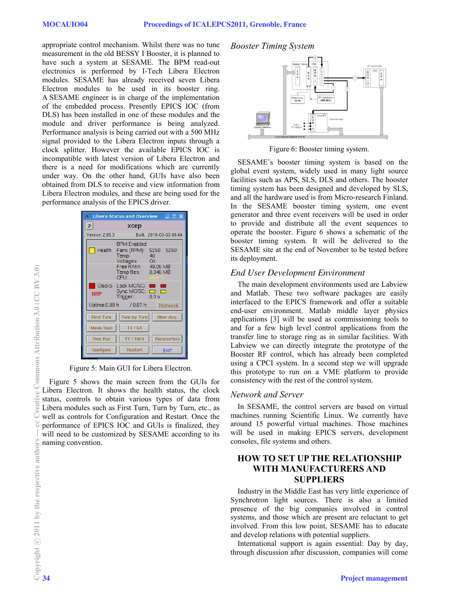appropriate control mechanism. Whilst there was no tune measurement in the old BESSY I Booster, it is planned to have such a system at SESAME. The BPM read-out electronics is performed by I-Tech Libera Electron modules. SESAME has already received seven Libera Electron modules to be used in its booster ring. A SESAME engineer is in charge of the implementation of the embedded process. Presently EPICS IOC (from DLS) has been installed in one of these modules and the module and driver performance is being analyzed. Performance analysis is being carried out with a 500 MHz signal provided to the Libera Electron inputs through a clock splitter. However the available EPICS IOC is incompatible with latest version of Libera Electron and there is a need for modifications which are currently under way. On the other hand, GUIs have also been obtained from DLS to receive and view information from Libera Electron modules, and these are being used for the performance analysis of the EPICS driver.

| <b>Libera Status and Overview</b><br>$=$ $\Box$ $\times$ |                                                                                                                                            |
|----------------------------------------------------------|--------------------------------------------------------------------------------------------------------------------------------------------|
| ?                                                        | хсер                                                                                                                                       |
| Version: 2.05.3                                          | Built: 2010-03-03 08:44                                                                                                                    |
|                                                          | <b>BPM Enabled</b><br>Health Fans (RPM): 5250<br>5250<br>Temp:<br>40<br>Voltages: Ok<br>Free RAM: 49.05 MB<br>Temp files: 0.046 MB<br>CPU: |
| <b>NTP</b>                                               | Clocks Lock MC/SC:<br>Sync MC/SC:<br>Trigger:<br>0.0 s                                                                                     |
|                                                          | Uptime: 0.88 h / 0.87 h<br>Network                                                                                                         |
| <b>First Turn</b>                                        | Turn by Turn   Slow Acq.                                                                                                                   |
| <b>Mean Sum</b>                                          | TTI64                                                                                                                                      |
| <b>Free Run</b>                                          | <b>Postmortem</b><br>TT/1024                                                                                                               |
| Configure                                                | <b>Restart</b><br><b>EXIT</b>                                                                                                              |

Figure 5: Main GUI for Libera Electron.

Figure 5 shows the main screen from the GUIs for Libera Electron. It shows the health status, the clock status, controls to obtain various types of data from Libera modules such as First Turn, Turn by Turn, etc., as well as controls for Configuration and Restart. Once the performance of EPICS IOC and GUIs is finalized, they will need to be customized by SESAME according to its naming convention.

### *Booster Timing System*



Figure 6: Booster timing system.

SESAME's booster timing system is based on the global event system, widely used in many light source facilities such as APS, SLS, DLS and others. The booster timing system has been designed and developed by SLS, and all the hardware used is from Micro-research Finland. In the SESAME booster timing system, one event generator and three event receivers will be used in order to provide and distribute all the event sequences to operate the booster. Figure 6 shows a schematic of the booster timing system. It will be delivered to the SESAME site at the end of November to be tested before its deployment.

## *End User Development Environment*

The main development environments used are Labview and Matlab. These two software packages are easily interfaced to the EPICS framework and offer a suitable end-user environment. Matlab middle layer physics applications [3] will be used as commissioning tools to and for a few high level control applications from the transfer line to storage ring as in similar facilities. With Labview we can directly integrate the prototype of the Booster RF control, which has already been completed using a CPCI system. In a second step we will upgrade this prototype to run on a VME platform to provide consistency with the rest of the control system.

## *Network and Server*

In SESAME, the control servers are based on virtual machines running Scientific Linux. We currently have around 15 powerful virtual machines. Those machines will be used in making EPICS servers, development consoles, file systems and others.

## **HOW TO SET UP THE RELATIONSHIP WITH MANUFACTURERS AND SUPPLIERS**

Industry in the Middle East has very little experience of Synchrotron light sources. There is also a limited presence of the big companies involved in control systems, and those which are present are reluctant to get involved. From this low point, SESAME has to educate and develop relations with potential suppliers.

International support is again essential: Day by day, through discussion after discussion, companies will come